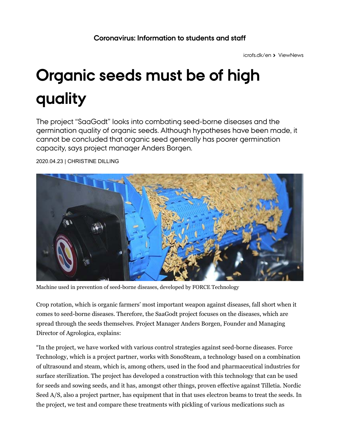icrofs.dk/en ≥ ViewNews

## **Organic seeds must be of high quality**

The project "SaaGodt" looks into combating seed-borne diseases and the germination quality of organic seeds. Although hypotheses have been made, it cannot be concluded that organic seed generally has poorer germination capacity, says project manager Anders Borgen.



2020.04.23 | CHRISTINE DILLING

Machine used in prevention of seed-borne diseases, developed by FORCE Technology

Crop rotation, which is organic farmers' most important weapon against diseases, fall short when it comes to seed-borne diseases. Therefore, the SaaGodt project focuses on the diseases, which are spread through the seeds themselves. Project Manager Anders Borgen, Founder and Managing Director of Agrologica, explains:

"In the project, we have worked with various control strategies against seed-borne diseases. Force Technology, which is a project partner, works with SonoSteam, a technology based on a combination of ultrasound and steam, which is, among others, used in the food and pharmaceutical industries for surface sterilization. The project has developed a construction with this technology that can be used for seeds and sowing seeds, and it has, amongst other things, proven effective against Tilletia. Nordic Seed A/S, also a project partner, has equipment that in that uses electron beams to treat the seeds. In the project, we test and compare these treatments with pickling of various medications such as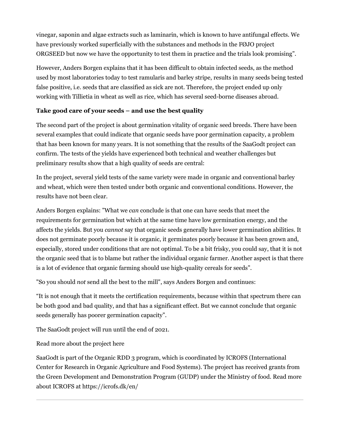vinegar, saponin and algae extracts such as laminarin, which is known to have antifungal effects. We have previously worked superficially with the substances and methods in the FØJO project ORGSEED but now we have the opportunity to test them in practice and the trials look promising".

However, Anders Borgen explains that it has been difficult to obtain infected seeds, as the method used by most laboratories today to test ramularis and barley stripe, results in many seeds being tested false positive, i.e. seeds that are classified as sick are not. Therefore, the project ended up only working with Tillietia in wheat as well as rice, which has several seed-borne diseases abroad.

## **Take good care of your seeds – and use the best quality**

The second part of the project is about germination vitality of organic seed breeds. There have been several examples that could indicate that organic seeds have poor germination capacity, a problem that has been known for many years. It is not something that the results of the SaaGodt project can confirm. The tests of the yields have experienced both technical and weather challenges but preliminary results show that a high quality of seeds are central:

In the project, several yield tests of the same variety were made in organic and conventional barley and wheat, which were then tested under both organic and conventional conditions. However, the results have not been clear.

Anders Borgen explains: "What we *can* conclude is that one can have seeds that meet the requirements for germination but which at the same time have low germination energy, and the affects the yields. But you *cannot* say that organic seeds generally have lower germination abilities. It does not germinate poorly because it is organic, it germinates poorly because it has been grown and, especially, stored under conditions that are not optimal. To be a bit frisky, you could say, that it is not the organic seed that is to blame but rather the individual organic farmer. Another aspect is that there is a lot of evidence that organic farming should use high-quality cereals for seeds".

"So you should *not* send all the best to the mill", says Anders Borgen and continues:

"It is not enough that it meets the certification requirements, because within that spectrum there can be both good and bad quality, and that has a significant effect. But we cannot conclude that organic seeds generally has poorer germination capacity".

The SaaGodt project will run until the end of 2021.

Read more about the project here

SaaGodt is part of the Organic RDD 3 program, which is coordinated by ICROFS (International Center for Research in Organic Agriculture and Food Systems). The project has received grants from the Green Development and Demonstration Program (GUDP) under the Ministry of food. Read more about ICROFS at https://icrofs.dk/en/